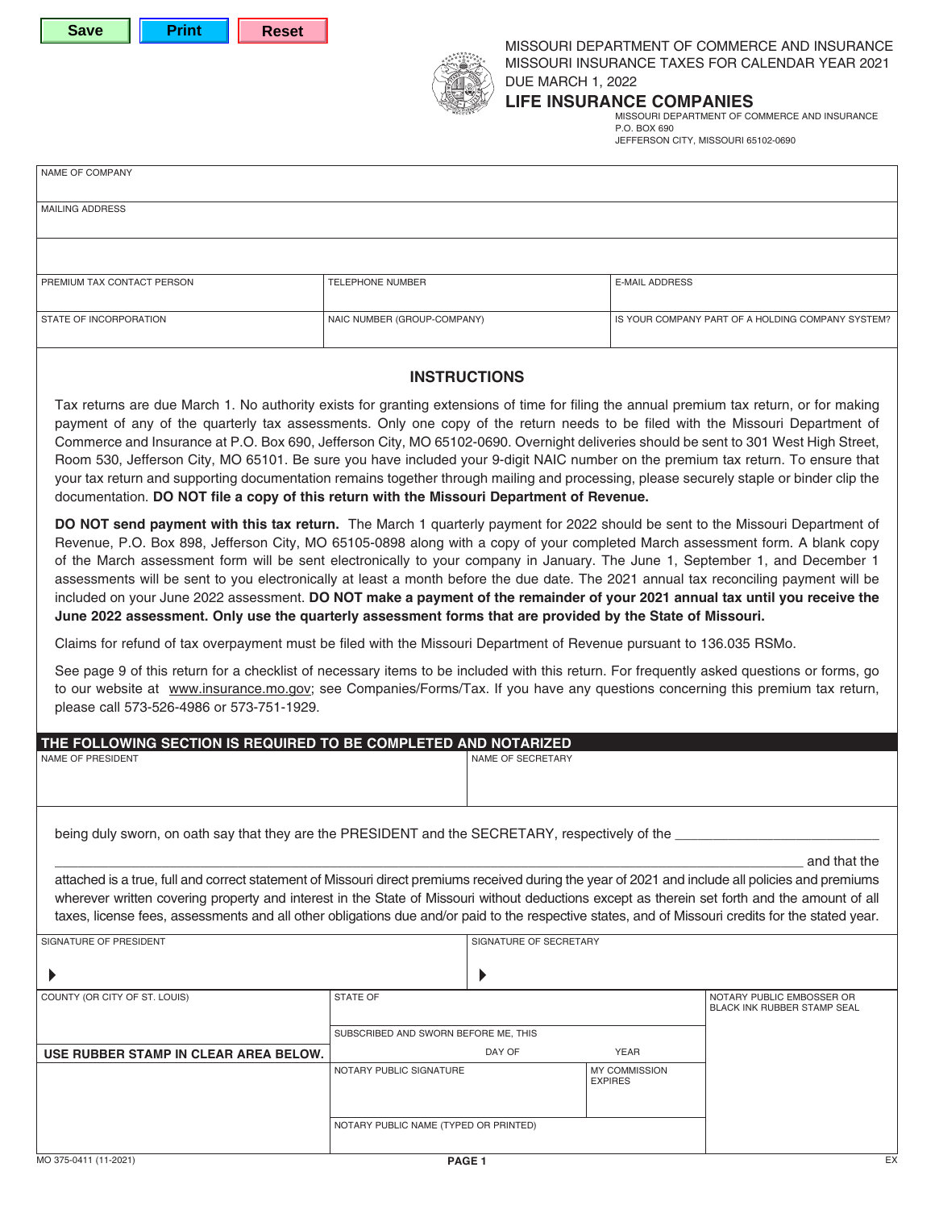



MISSOURI DEPARTMENT OF COMMERCE AND INSURANCE MISSOURI INSURANCE TAXES FOR CALENDAR YEAR 2021 DUE MARCH 1, 2022

# **LIFE INSURANCE COMPANIES**

MISSOURI DEPARTMENT OF COMMERCE AND INSURANCE P.O. BOX 690 JEFFERSON CITY, MISSOURI 65102-0690

| NAME OF COMPANY            |                             |                                                   |
|----------------------------|-----------------------------|---------------------------------------------------|
| MAILING ADDRESS            |                             |                                                   |
|                            |                             |                                                   |
|                            |                             |                                                   |
| PREMIUM TAX CONTACT PERSON | <b>TELEPHONE NUMBER</b>     | <b>E-MAIL ADDRESS</b>                             |
| STATE OF INCORPORATION     | NAIC NUMBER (GROUP-COMPANY) | IS YOUR COMPANY PART OF A HOLDING COMPANY SYSTEM? |
|                            |                             |                                                   |

## **INSTRUCTIONS**

Tax returns are due March 1. No authority exists for granting extensions of time for filing the annual premium tax return, or for making payment of any of the quarterly tax assessments. Only one copy of the return needs to be filed with the Missouri Department of Commerce and Insurance at P.O. Box 690, Jefferson City, MO 65102-0690. Overnight deliveries should be sent to 301 West High Street, Room 530, Jefferson City, MO 65101. Be sure you have included your 9-digit NAIC number on the premium tax return. To ensure that your tax return and supporting documentation remains together through mailing and processing, please securely staple or binder clip the documentation. **DO NOT file a copy of this return with the Missouri Department of Revenue.**

**DO NOT send payment with this tax return.** The March 1 quarterly payment for 2022 should be sent to the Missouri Department of Revenue, P.O. Box 898, Jefferson City, MO 65105-0898 along with a copy of your completed March assessment form. A blank copy of the March assessment form will be sent electronically to your company in January. The June 1, September 1, and December 1 assessments will be sent to you electronically at least a month before the due date. The 2021 annual tax reconciling payment will be included on your June 2022 assessment. **DO NOT make a payment of the remainder of your 2021 annual tax until you receive the June 2022 assessment. Only use the quarterly assessment forms that are provided by the State of Missouri.**

Claims for refund of tax overpayment must be filed with the Missouri Department of Revenue pursuant to 136.035 RSMo.

See page 9 of this return for a checklist of necessary items to be included with this return. For frequently asked questions or forms, go to our website at www.insurance.mo.gov; see Companies/Forms/Tax. If you have any questions concerning this premium tax return, please call 573-526-4986 or 573-751-1929.

| THE FOLLOWING SECTION IS REQUIRED TO BE COMPLETED AND NOTARIZED                                                                                   |                                       |                        |                      |                                    |
|---------------------------------------------------------------------------------------------------------------------------------------------------|---------------------------------------|------------------------|----------------------|------------------------------------|
| <b>NAME OF PRESIDENT</b>                                                                                                                          |                                       | NAME OF SECRETARY      |                      |                                    |
|                                                                                                                                                   |                                       |                        |                      |                                    |
|                                                                                                                                                   |                                       |                        |                      |                                    |
|                                                                                                                                                   |                                       |                        |                      |                                    |
| being duly sworn, on oath say that they are the PRESIDENT and the SECRETARY, respectively of the                                                  |                                       |                        |                      |                                    |
|                                                                                                                                                   |                                       |                        |                      |                                    |
|                                                                                                                                                   |                                       |                        |                      | and that the                       |
| attached is a true, full and correct statement of Missouri direct premiums received during the year of 2021 and include all policies and premiums |                                       |                        |                      |                                    |
| wherever written covering property and interest in the State of Missouri without deductions except as therein set forth and the amount of all     |                                       |                        |                      |                                    |
| taxes, license fees, assessments and all other obligations due and/or paid to the respective states, and of Missouri credits for the stated year. |                                       |                        |                      |                                    |
| SIGNATURE OF PRESIDENT                                                                                                                            |                                       | SIGNATURE OF SECRETARY |                      |                                    |
|                                                                                                                                                   |                                       |                        |                      |                                    |
|                                                                                                                                                   |                                       |                        |                      |                                    |
| COUNTY (OR CITY OF ST. LOUIS)                                                                                                                     | <b>STATE OF</b>                       |                        |                      | NOTARY PUBLIC EMBOSSER OR          |
|                                                                                                                                                   |                                       |                        |                      | <b>BLACK INK RUBBER STAMP SEAL</b> |
|                                                                                                                                                   | SUBSCRIBED AND SWORN BEFORE ME, THIS  |                        |                      |                                    |
| USE RUBBER STAMP IN CLEAR AREA BELOW.                                                                                                             |                                       | DAY OF                 | <b>YEAR</b>          |                                    |
|                                                                                                                                                   | NOTARY PUBLIC SIGNATURE               |                        | <b>MY COMMISSION</b> |                                    |
|                                                                                                                                                   |                                       |                        | <b>EXPIRES</b>       |                                    |
|                                                                                                                                                   |                                       |                        |                      |                                    |
|                                                                                                                                                   | NOTARY PUBLIC NAME (TYPED OR PRINTED) |                        |                      |                                    |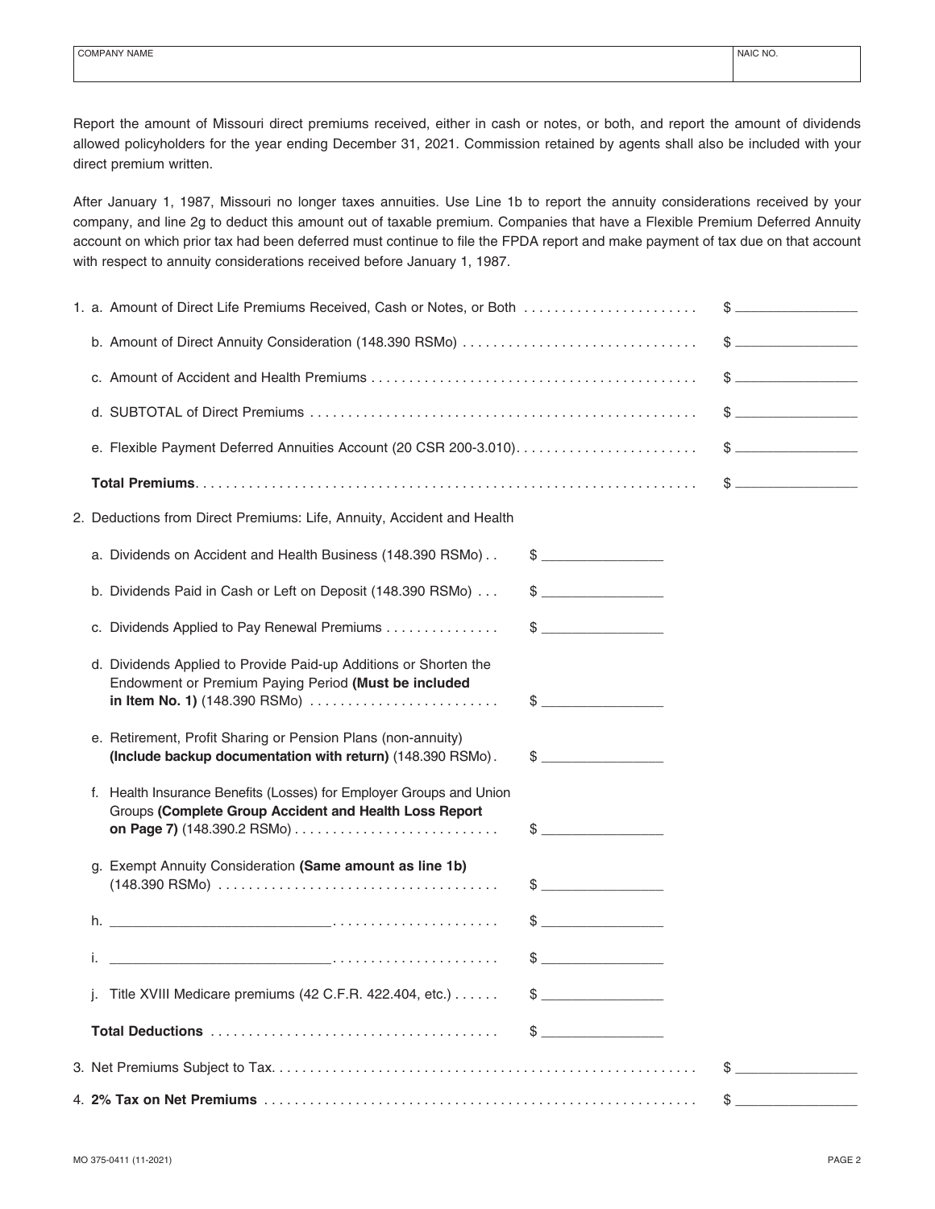Report the amount of Missouri direct premiums received, either in cash or notes, or both, and report the amount of dividends allowed policyholders for the year ending December 31, 2021. Commission retained by agents shall also be included with your direct premium written.

After January 1, 1987, Missouri no longer taxes annuities. Use Line 1b to report the annuity considerations received by your company, and line 2g to deduct this amount out of taxable premium. Companies that have a Flexible Premium Deferred Annuity account on which prior tax had been deferred must continue to file the FPDA report and make payment of tax due on that account with respect to annuity considerations received before January 1, 1987.

| 1. a. Amount of Direct Life Premiums Received, Cash or Notes, or Both                                                                                     |                                                                                                                                                                                                                                                                                                                                                                     |               |
|-----------------------------------------------------------------------------------------------------------------------------------------------------------|---------------------------------------------------------------------------------------------------------------------------------------------------------------------------------------------------------------------------------------------------------------------------------------------------------------------------------------------------------------------|---------------|
|                                                                                                                                                           |                                                                                                                                                                                                                                                                                                                                                                     |               |
|                                                                                                                                                           |                                                                                                                                                                                                                                                                                                                                                                     |               |
|                                                                                                                                                           |                                                                                                                                                                                                                                                                                                                                                                     |               |
|                                                                                                                                                           |                                                                                                                                                                                                                                                                                                                                                                     |               |
|                                                                                                                                                           |                                                                                                                                                                                                                                                                                                                                                                     |               |
| 2. Deductions from Direct Premiums: Life, Annuity, Accident and Health                                                                                    |                                                                                                                                                                                                                                                                                                                                                                     |               |
| a. Dividends on Accident and Health Business (148.390 RSMo)                                                                                               |                                                                                                                                                                                                                                                                                                                                                                     |               |
| b. Dividends Paid in Cash or Left on Deposit (148.390 RSMo)                                                                                               | $\begin{picture}(20,20) \put(0,0){\vector(1,0){100}} \put(15,0){\vector(1,0){100}} \put(15,0){\vector(1,0){100}} \put(15,0){\vector(1,0){100}} \put(15,0){\vector(1,0){100}} \put(15,0){\vector(1,0){100}} \put(15,0){\vector(1,0){100}} \put(15,0){\vector(1,0){100}} \put(15,0){\vector(1,0){100}} \put(15,0){\vector(1,0){100}} \put(15,0){\vector(1,0){100}} \$ |               |
| c. Dividends Applied to Pay Renewal Premiums                                                                                                              | $\frac{1}{2}$                                                                                                                                                                                                                                                                                                                                                       |               |
| d. Dividends Applied to Provide Paid-up Additions or Shorten the<br>Endowment or Premium Paying Period (Must be included<br>in Item No. 1) (148.390 RSMo) | $\frac{1}{2}$                                                                                                                                                                                                                                                                                                                                                       |               |
| e. Retirement, Profit Sharing or Pension Plans (non-annuity)<br>(Include backup documentation with return) (148.390 RSMo).                                | $\frac{1}{2}$                                                                                                                                                                                                                                                                                                                                                       |               |
| f. Health Insurance Benefits (Losses) for Employer Groups and Union<br>Groups (Complete Group Accident and Health Loss Report                             | $\sim$                                                                                                                                                                                                                                                                                                                                                              |               |
| g. Exempt Annuity Consideration (Same amount as line 1b)                                                                                                  | $\frac{1}{2}$                                                                                                                                                                                                                                                                                                                                                       |               |
|                                                                                                                                                           |                                                                                                                                                                                                                                                                                                                                                                     |               |
|                                                                                                                                                           | $\frac{1}{2}$                                                                                                                                                                                                                                                                                                                                                       |               |
| j. Title XVIII Medicare premiums (42 C.F.R. 422.404, etc.)                                                                                                | $\mathbb{S}$                                                                                                                                                                                                                                                                                                                                                        |               |
|                                                                                                                                                           | $\sim$                                                                                                                                                                                                                                                                                                                                                              |               |
|                                                                                                                                                           |                                                                                                                                                                                                                                                                                                                                                                     | $\frac{1}{2}$ |
|                                                                                                                                                           |                                                                                                                                                                                                                                                                                                                                                                     | $\frac{1}{2}$ |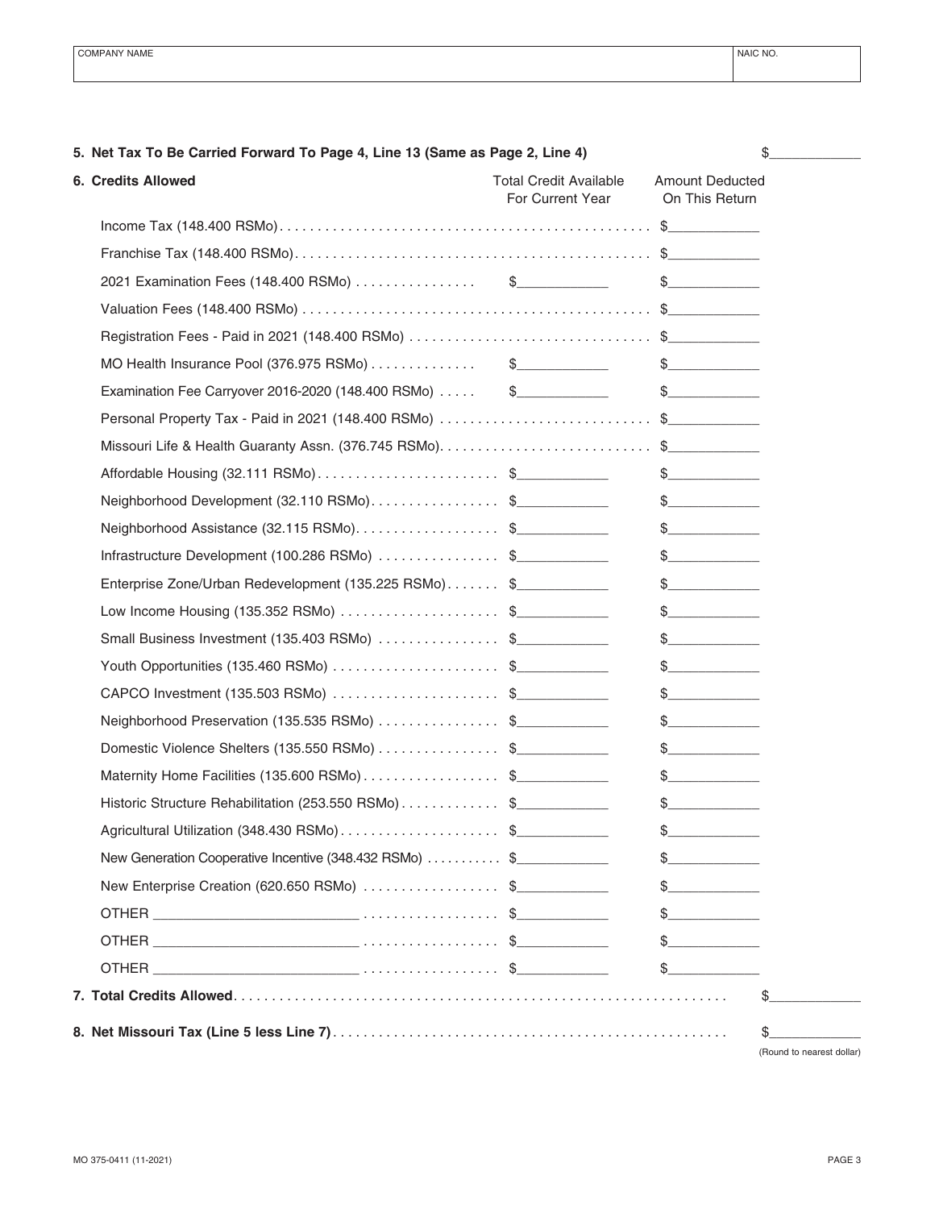| 6. Credits Allowed                                     | <b>Total Credit Available</b><br>For Current Year | <b>Amount Deducted</b><br>On This Return |
|--------------------------------------------------------|---------------------------------------------------|------------------------------------------|
|                                                        |                                                   |                                          |
|                                                        |                                                   |                                          |
|                                                        |                                                   | $\frac{1}{2}$                            |
|                                                        |                                                   |                                          |
|                                                        |                                                   |                                          |
| MO Health Insurance Pool (376.975 RSMo) \$             |                                                   | $\frac{1}{2}$                            |
| Examination Fee Carryover 2016-2020 (148.400 RSMo) \$  |                                                   | $\frac{1}{2}$                            |
| Personal Property Tax - Paid in 2021 (148.400 RSMo) \$ |                                                   |                                          |
| Missouri Life & Health Guaranty Assn. (376.745 RSMo)\$ |                                                   |                                          |
| Affordable Housing (32.111 RSMo)\$                     |                                                   | $\frac{1}{2}$                            |
| Neighborhood Development (32.110 RSMo)\$               |                                                   | $\frac{1}{2}$                            |
| Neighborhood Assistance (32.115 RSMo)\$                |                                                   | $\begin{array}{c} \text{\$} \end{array}$ |
| Infrastructure Development (100.286 RSMo) \$           |                                                   | $\begin{array}{c} \text{\$} \end{array}$ |
| Enterprise Zone/Urban Redevelopment (135.225 RSMo) \$  |                                                   | $\frac{1}{2}$                            |
| Low Income Housing (135.352 RSMo) \$                   |                                                   | $\begin{array}{c} \text{\$} \end{array}$ |
| Small Business Investment (135.403 RSMo) \$            |                                                   | $\begin{array}{c} \text{\$} \end{array}$ |
| Youth Opportunities (135.460 RSMo) \$                  |                                                   | $\frac{1}{2}$                            |
| CAPCO Investment (135.503 RSMo) \$                     |                                                   | $\begin{array}{c} \text{\$} \end{array}$ |
| Neighborhood Preservation (135.535 RSMo) \$            |                                                   | $\frac{1}{2}$                            |
| Domestic Violence Shelters (135.550 RSMo) \$           |                                                   | $\begin{array}{c} \text{\$} \end{array}$ |
| Maternity Home Facilities (135.600 RSMo)\$             |                                                   | $\frac{1}{2}$                            |
| Historic Structure Rehabilitation (253.550 RSMo)\$     |                                                   | $\frac{1}{2}$                            |
| Agricultural Utilization (348.430 RSMo)\$              |                                                   | $\frac{1}{2}$                            |
| New Generation Cooperative Incentive (348.432 RSMo) \$ |                                                   | $\mathbb{S}$                             |
| New Enterprise Creation (620.650 RSMo) \$              |                                                   | $\frac{1}{2}$                            |
|                                                        |                                                   |                                          |
|                                                        |                                                   | $\sim$                                   |
|                                                        |                                                   | $\mathbb{S}$                             |
|                                                        |                                                   |                                          |

**5. Net Tax To Be Carried Forward To Page 4, Line 13 (Same as Page 2, Line 4)** \$\_\_\_\_\_\_\_\_\_\_\_\_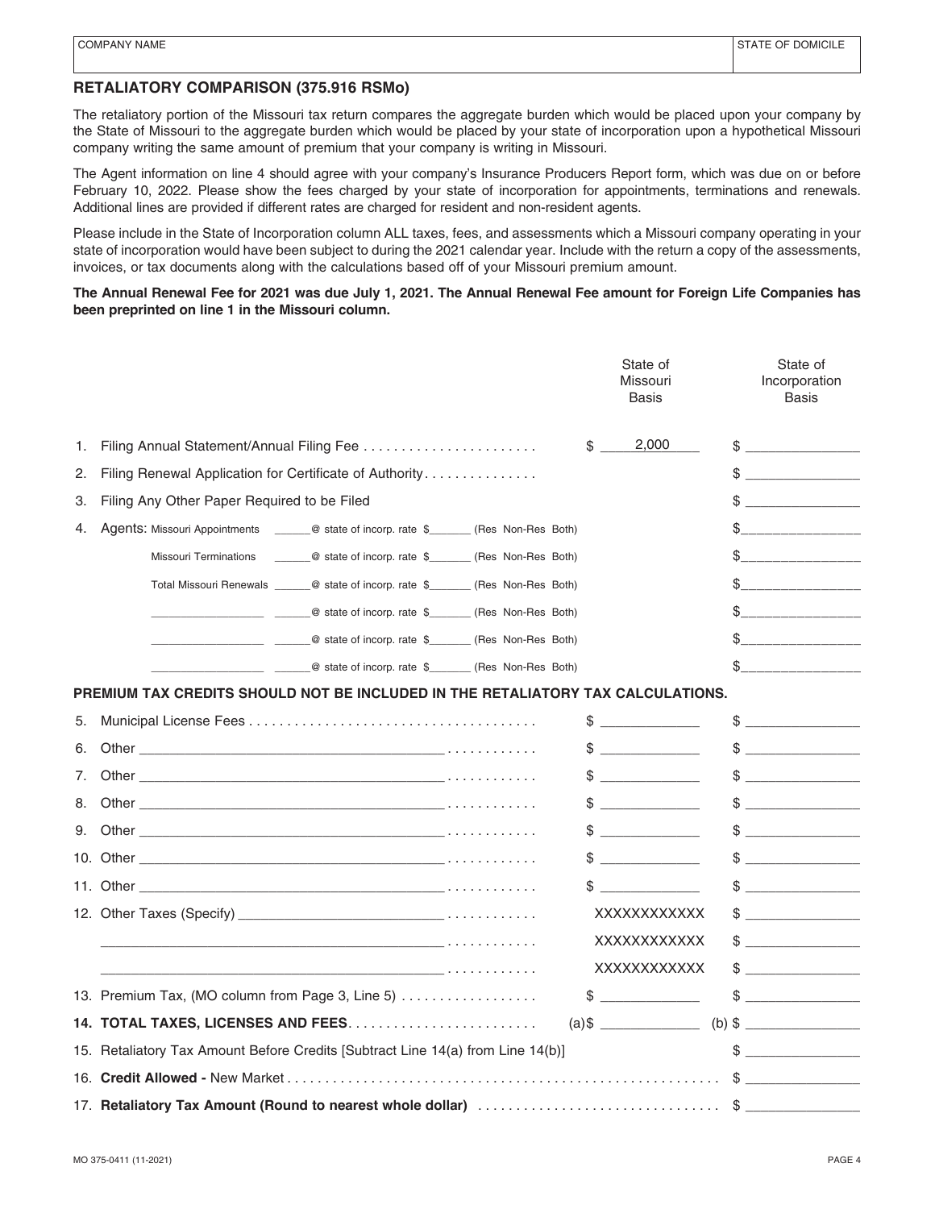### **RETALIATORY COMPARISON (375.916 RSMo)**

The retaliatory portion of the Missouri tax return compares the aggregate burden which would be placed upon your company by the State of Missouri to the aggregate burden which would be placed by your state of incorporation upon a hypothetical Missouri company writing the same amount of premium that your company is writing in Missouri.

The Agent information on line 4 should agree with your company's Insurance Producers Report form, which was due on or before February 10, 2022. Please show the fees charged by your state of incorporation for appointments, terminations and renewals. Additional lines are provided if different rates are charged for resident and non-resident agents.

Please include in the State of Incorporation column ALL taxes, fees, and assessments which a Missouri company operating in your state of incorporation would have been subject to during the 2021 calendar year. Include with the return a copy of the assessments, invoices, or tax documents along with the calculations based off of your Missouri premium amount.

#### **The Annual Renewal Fee for 2021 was due July 1, 2021. The Annual Renewal Fee amount for Foreign Life Companies has been preprinted on line 1 in the Missouri column.**

|    |                                                                                                                                                                                                                                      | State of<br>Missouri<br><b>Basis</b> | State of<br>Incorporation<br><b>Basis</b>                                                                                                                                                                                                                                                                                                                           |
|----|--------------------------------------------------------------------------------------------------------------------------------------------------------------------------------------------------------------------------------------|--------------------------------------|---------------------------------------------------------------------------------------------------------------------------------------------------------------------------------------------------------------------------------------------------------------------------------------------------------------------------------------------------------------------|
| 1. | Filing Annual Statement/Annual Filing Fee                                                                                                                                                                                            | 2,000<br>$\mathbb{S}$                | $\qquad \qquad \bullet$                                                                                                                                                                                                                                                                                                                                             |
| 2. | Filing Renewal Application for Certificate of Authority                                                                                                                                                                              |                                      | $\begin{picture}(20,10) \put(0,0){\vector(1,0){100}} \put(15,0){\vector(1,0){100}} \put(15,0){\vector(1,0){100}} \put(15,0){\vector(1,0){100}} \put(15,0){\vector(1,0){100}} \put(15,0){\vector(1,0){100}} \put(15,0){\vector(1,0){100}} \put(15,0){\vector(1,0){100}} \put(15,0){\vector(1,0){100}} \put(15,0){\vector(1,0){100}} \put(15,0){\vector(1,0){100}} \$ |
| З. | Filing Any Other Paper Required to be Filed                                                                                                                                                                                          |                                      | \$<br><u> 1980 - Jan Samuel III, primeira politik (</u>                                                                                                                                                                                                                                                                                                             |
| 4. | Agents: Missouri Appointments _______@ state of incorp. rate \$_______ (Res Non-Res Both)                                                                                                                                            |                                      |                                                                                                                                                                                                                                                                                                                                                                     |
|    | Missouri Terminations _______@ state of incorp. rate \$________(Res Non-Res Both)                                                                                                                                                    |                                      | \$_____________________                                                                                                                                                                                                                                                                                                                                             |
|    | Total Missouri Renewals _______@ state of incorp. rate \$________ (Res Non-Res Both)                                                                                                                                                 |                                      | $\frac{1}{2}$                                                                                                                                                                                                                                                                                                                                                       |
|    |                                                                                                                                                                                                                                      |                                      | $\frac{1}{2}$                                                                                                                                                                                                                                                                                                                                                       |
|    | Q state of incorp. rate \$ (Res Non-Res Both)                                                                                                                                                                                        |                                      | \$                                                                                                                                                                                                                                                                                                                                                                  |
|    | Q state of incorp. rate \$ (Res Non-Res Both)                                                                                                                                                                                        |                                      | $\frac{1}{2}$                                                                                                                                                                                                                                                                                                                                                       |
|    | PREMIUM TAX CREDITS SHOULD NOT BE INCLUDED IN THE RETALIATORY TAX CALCULATIONS.                                                                                                                                                      |                                      |                                                                                                                                                                                                                                                                                                                                                                     |
| 5. |                                                                                                                                                                                                                                      | $\frac{1}{2}$                        | $\begin{picture}(20,10) \put(0,0){\line(1,0){10}} \put(15,0){\line(1,0){10}} \put(15,0){\line(1,0){10}} \put(15,0){\line(1,0){10}} \put(15,0){\line(1,0){10}} \put(15,0){\line(1,0){10}} \put(15,0){\line(1,0){10}} \put(15,0){\line(1,0){10}} \put(15,0){\line(1,0){10}} \put(15,0){\line(1,0){10}} \put(15,0){\line(1,0){10}} \put(15,0){\line(1$                 |
| 6. |                                                                                                                                                                                                                                      | $\frac{1}{2}$                        | $\qquad \qquad \$$                                                                                                                                                                                                                                                                                                                                                  |
| 7. | Other the contract of the contract of $\mathcal{L}$ . The contract of $\mathcal{L}$ is a set of $\mathcal{L}$ . The contract of $\mathcal{L}$                                                                                        | $\mathbb{S}$                         | $\frac{1}{2}$                                                                                                                                                                                                                                                                                                                                                       |
| 8. |                                                                                                                                                                                                                                      | $\frac{1}{2}$                        | $\qquad \qquad \$$                                                                                                                                                                                                                                                                                                                                                  |
| 9. | Other <b>contract the contract of the contract of the contract of the contract of the contract of the contract of the contract of the contract of the contract of the contract of the contract of the contract of the contract o</b> | $\mathbb{S}$                         | $\frac{1}{2}$                                                                                                                                                                                                                                                                                                                                                       |
|    |                                                                                                                                                                                                                                      |                                      | $\qquad \qquad \$$                                                                                                                                                                                                                                                                                                                                                  |
|    |                                                                                                                                                                                                                                      | $\mathbb{S}$                         | $\qquad \qquad \$$                                                                                                                                                                                                                                                                                                                                                  |
|    |                                                                                                                                                                                                                                      | XXXXXXXXXXXX                         | $\frac{1}{2}$                                                                                                                                                                                                                                                                                                                                                       |
|    |                                                                                                                                                                                                                                      | XXXXXXXXXXX                          | $\frac{1}{2}$                                                                                                                                                                                                                                                                                                                                                       |
|    | the contract of the contract of the contract of the contract of the contract of the contract of the contract of                                                                                                                      | XXXXXXXXXXX                          | $\frac{1}{2}$                                                                                                                                                                                                                                                                                                                                                       |
|    | 13. Premium Tax, (MO column from Page 3, Line 5)                                                                                                                                                                                     | $\frac{1}{2}$                        | $\begin{picture}(20,10) \put(0,0){\vector(1,0){100}} \put(15,0){\vector(1,0){100}} \put(15,0){\vector(1,0){100}} \put(15,0){\vector(1,0){100}} \put(15,0){\vector(1,0){100}} \put(15,0){\vector(1,0){100}} \put(15,0){\vector(1,0){100}} \put(15,0){\vector(1,0){100}} \put(15,0){\vector(1,0){100}} \put(15,0){\vector(1,0){100}} \put(15,0){\vector(1,0){100}} \$ |
|    |                                                                                                                                                                                                                                      |                                      |                                                                                                                                                                                                                                                                                                                                                                     |
|    | 15. Retaliatory Tax Amount Before Credits [Subtract Line 14(a) from Line 14(b)]                                                                                                                                                      |                                      | $\begin{picture}(20,10) \put(0,0){\vector(1,0){100}} \put(15,0){\vector(1,0){100}} \put(15,0){\vector(1,0){100}} \put(15,0){\vector(1,0){100}} \put(15,0){\vector(1,0){100}} \put(15,0){\vector(1,0){100}} \put(15,0){\vector(1,0){100}} \put(15,0){\vector(1,0){100}} \put(15,0){\vector(1,0){100}} \put(15,0){\vector(1,0){100}} \put(15,0){\vector(1,0){100}} \$ |
|    |                                                                                                                                                                                                                                      |                                      | $\begin{picture}(20,10) \put(0,0){\vector(1,0){100}} \put(15,0){\vector(1,0){100}} \put(15,0){\vector(1,0){100}} \put(15,0){\vector(1,0){100}} \put(15,0){\vector(1,0){100}} \put(15,0){\vector(1,0){100}} \put(15,0){\vector(1,0){100}} \put(15,0){\vector(1,0){100}} \put(15,0){\vector(1,0){100}} \put(15,0){\vector(1,0){100}} \put(15,0){\vector(1,0){100}} \$ |
|    |                                                                                                                                                                                                                                      |                                      |                                                                                                                                                                                                                                                                                                                                                                     |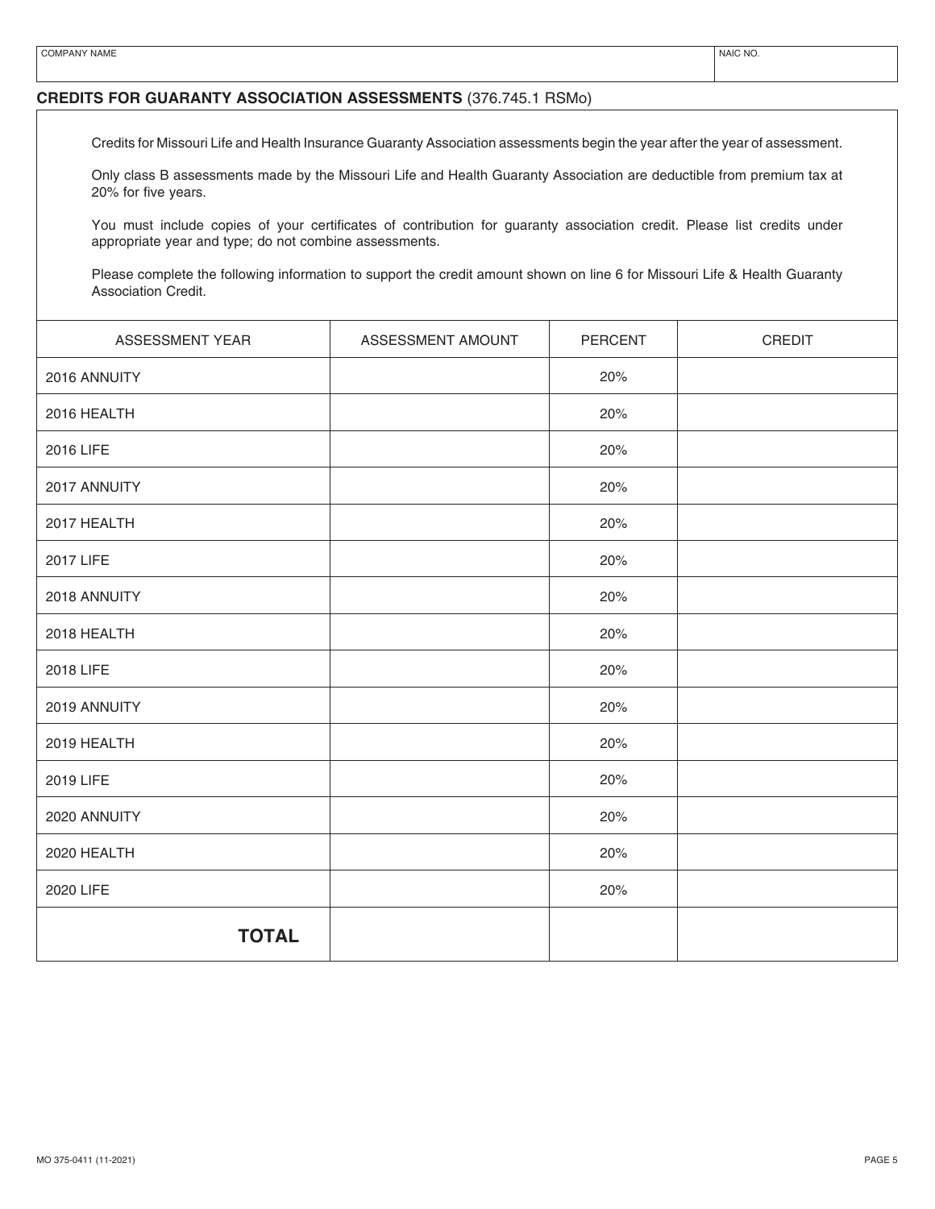### **CREDITS FOR GUARANTY ASSOCIATION ASSESSMENTS** (376.745.1 RSMo)

Credits for Missouri Life and Health Insurance Guaranty Association assessments begin the year after the year of assessment.

Only class B assessments made by the Missouri Life and Health Guaranty Association are deductible from premium tax at 20% for five years.

You must include copies of your certificates of contribution for guaranty association credit. Please list credits under appropriate year and type; do not combine assessments.

Please complete the following information to support the credit amount shown on line 6 for Missouri Life & Health Guaranty Association Credit.

| ASSESSMENT YEAR | ASSESSMENT AMOUNT | PERCENT | CREDIT |
|-----------------|-------------------|---------|--------|
| 2016 ANNUITY    |                   | 20%     |        |
| 2016 HEALTH     |                   | 20%     |        |
| 2016 LIFE       |                   | 20%     |        |
| 2017 ANNUITY    |                   | 20%     |        |
| 2017 HEALTH     |                   | 20%     |        |
| 2017 LIFE       |                   | 20%     |        |
| 2018 ANNUITY    |                   | 20%     |        |
| 2018 HEALTH     |                   | 20%     |        |
| 2018 LIFE       |                   | 20%     |        |
| 2019 ANNUITY    |                   | 20%     |        |
| 2019 HEALTH     |                   | 20%     |        |
| 2019 LIFE       |                   | 20%     |        |
| 2020 ANNUITY    |                   | 20%     |        |
| 2020 HEALTH     |                   | 20%     |        |
| 2020 LIFE       |                   | 20%     |        |
| <b>TOTAL</b>    |                   |         |        |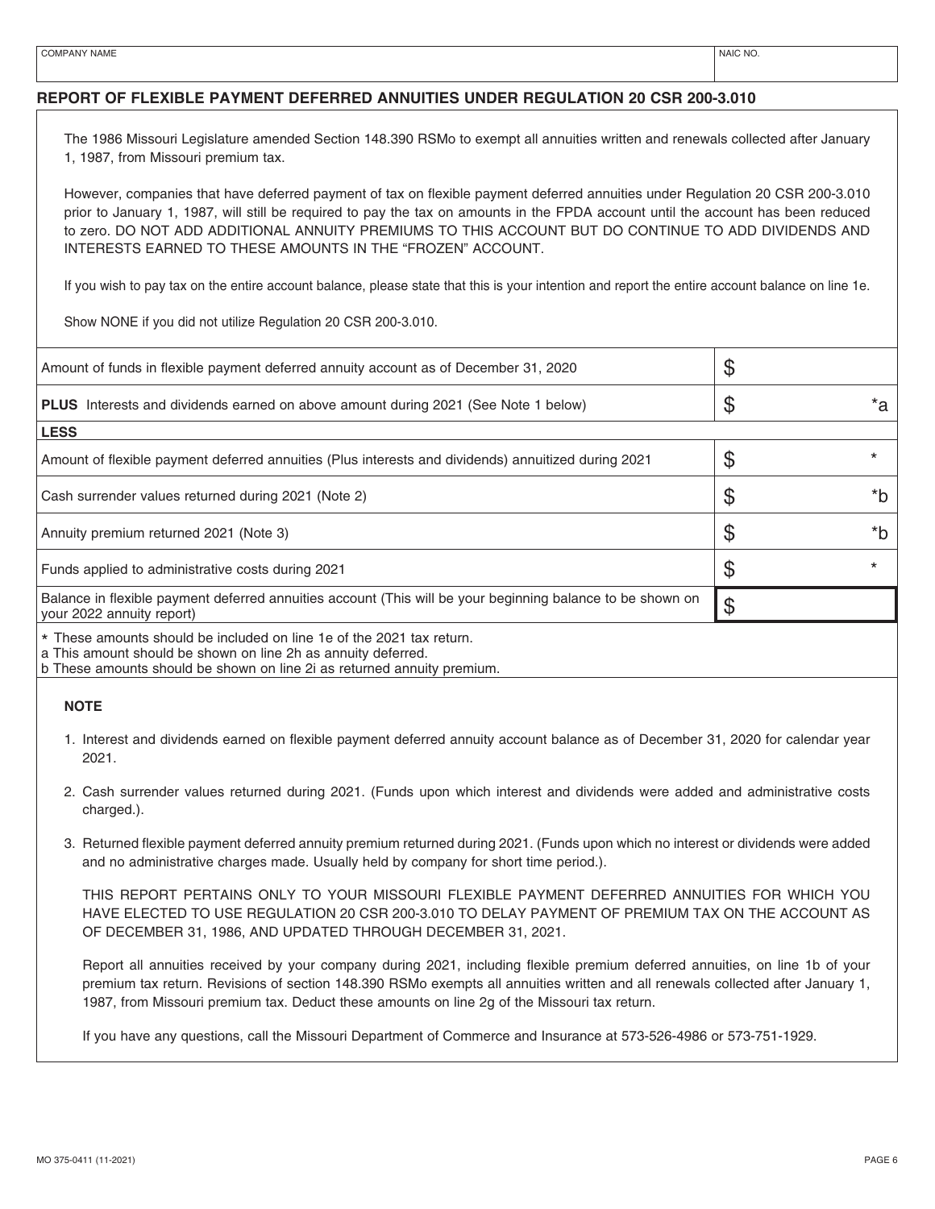#### **REPORT OF FLEXIBLE PAYMENT DEFERRED ANNUITIES UNDER REGULATION 20 CSR 200-3.010**

The 1986 Missouri Legislature amended Section 148.390 RSMo to exempt all annuities written and renewals collected after January 1, 1987, from Missouri premium tax.

However, companies that have deferred payment of tax on flexible payment deferred annuities under Regulation 20 CSR 200-3.010 prior to January 1, 1987, will still be required to pay the tax on amounts in the FPDA account until the account has been reduced to zero. DO NOT ADD ADDITIONAL ANNUITY PREMIUMS TO THIS ACCOUNT BUT DO CONTINUE TO ADD DIVIDENDS AND INTERESTS EARNED TO THESE AMOUNTS IN THE "FROZEN" ACCOUNT.

If you wish to pay tax on the entire account balance, please state that this is your intention and report the entire account balance on line 1e.

Show NONE if you did not utilize Regulation 20 CSR 200-3.010.

| Amount of funds in flexible payment deferred annuity account as of December 31, 2020                                                    | \$       |
|-----------------------------------------------------------------------------------------------------------------------------------------|----------|
| <b>PLUS</b> Interests and dividends earned on above amount during 2021 (See Note 1 below)                                               | \$<br>*a |
| <b>LESS</b>                                                                                                                             |          |
| Amount of flexible payment deferred annuities (Plus interests and dividends) annuitized during 2021                                     | \$       |
| Cash surrender values returned during 2021 (Note 2)                                                                                     | \$<br>*b |
| Annuity premium returned 2021 (Note 3)                                                                                                  | \$<br>*h |
| Funds applied to administrative costs during 2021                                                                                       | \$       |
| Balance in flexible payment deferred annuities account (This will be your beginning balance to be shown on<br>your 2022 annuity report) | \$       |
| * These amounts should be included on line 1e of the 2021 tax return.                                                                   |          |

\* These amounts should be included on line 1e of the 2021 tax return. a This amount should be shown on line 2h as annuity deferred.

b These amounts should be shown on line 2i as returned annuity premium.

#### **NOTE**

- 1. Interest and dividends earned on flexible payment deferred annuity account balance as of December 31, 2020 for calendar year 2021.
- 2. Cash surrender values returned during 2021. (Funds upon which interest and dividends were added and administrative costs charged.).
- 3. Returned flexible payment deferred annuity premium returned during 2021. (Funds upon which no interest or dividends were added and no administrative charges made. Usually held by company for short time period.).

THIS REPORT PERTAINS ONLY TO YOUR MISSOURI FLEXIBLE PAYMENT DEFERRED ANNUITIES FOR WHICH YOU HAVE ELECTED TO USE REGULATION 20 CSR 200-3.010 TO DELAY PAYMENT OF PREMIUM TAX ON THE ACCOUNT AS OF DECEMBER 31, 1986, AND UPDATED THROUGH DECEMBER 31, 2021.

Report all annuities received by your company during 2021, including flexible premium deferred annuities, on line 1b of your premium tax return. Revisions of section 148.390 RSMo exempts all annuities written and all renewals collected after January 1, 1987, from Missouri premium tax. Deduct these amounts on line 2g of the Missouri tax return.

If you have any questions, call the Missouri Department of Commerce and Insurance at 573-526-4986 or 573-751-1929.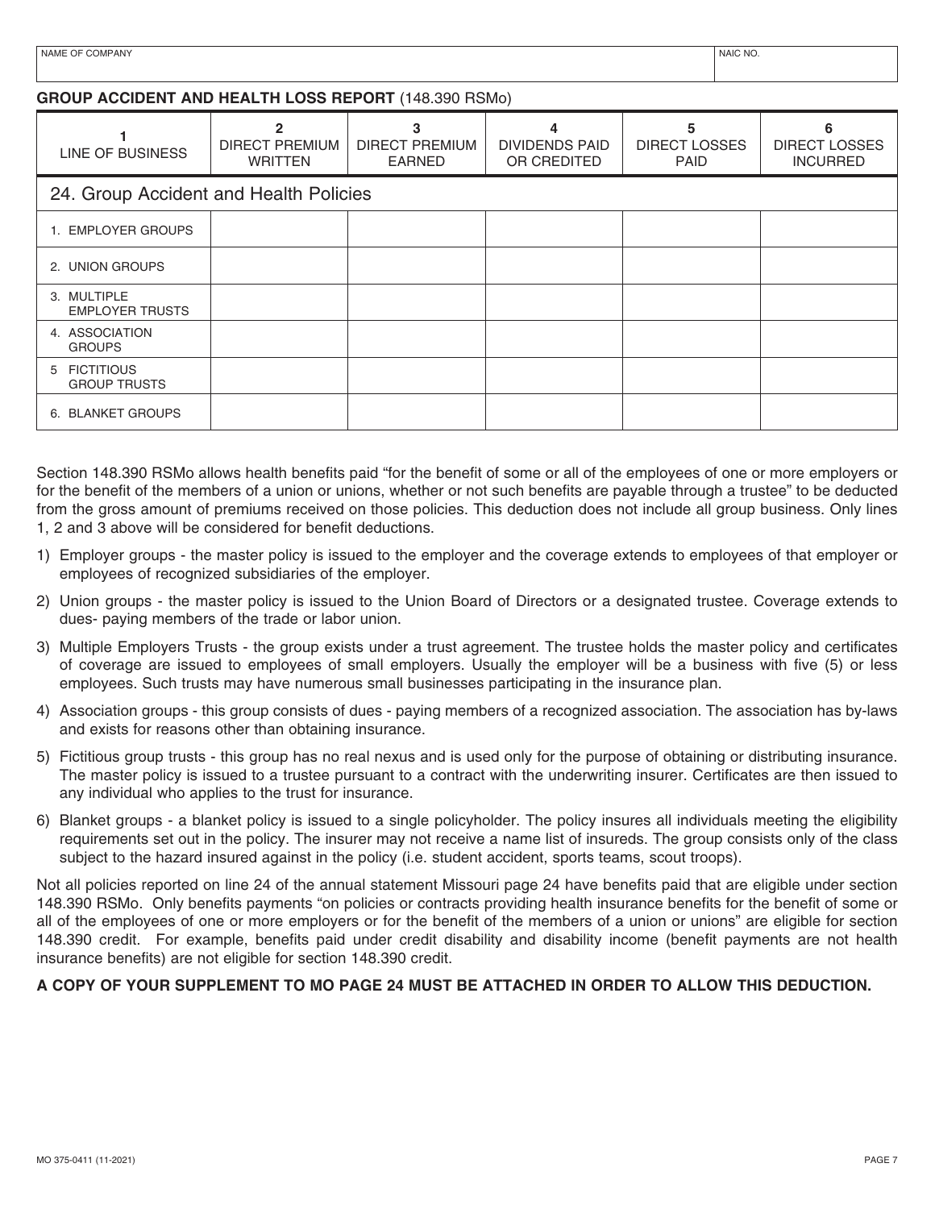## **GROUP ACCIDENT AND HEALTH LOSS REPORT** (148.390 RSMo)

| LINE OF BUSINESS                              | 2<br>DIRECT PREMIUM<br><b>WRITTEN</b> | 3<br><b>DIRECT PREMIUM</b><br><b>EARNED</b> | <b>DIVIDENDS PAID</b><br>OR CREDITED | 5<br><b>DIRECT LOSSES</b><br><b>PAID</b> | 6<br><b>DIRECT LOSSES</b><br><b>INCURRED</b> |
|-----------------------------------------------|---------------------------------------|---------------------------------------------|--------------------------------------|------------------------------------------|----------------------------------------------|
| 24. Group Accident and Health Policies        |                                       |                                             |                                      |                                          |                                              |
| 1. EMPLOYER GROUPS                            |                                       |                                             |                                      |                                          |                                              |
| 2. UNION GROUPS                               |                                       |                                             |                                      |                                          |                                              |
| 3. MULTIPLE<br><b>EMPLOYER TRUSTS</b>         |                                       |                                             |                                      |                                          |                                              |
| 4. ASSOCIATION<br><b>GROUPS</b>               |                                       |                                             |                                      |                                          |                                              |
| <b>FICTITIOUS</b><br>5<br><b>GROUP TRUSTS</b> |                                       |                                             |                                      |                                          |                                              |
| <b>BLANKET GROUPS</b><br>6.                   |                                       |                                             |                                      |                                          |                                              |

Section 148.390 RSMo allows health benefits paid "for the benefit of some or all of the employees of one or more employers or for the benefit of the members of a union or unions, whether or not such benefits are payable through a trustee" to be deducted from the gross amount of premiums received on those policies. This deduction does not include all group business. Only lines 1, 2 and 3 above will be considered for benefit deductions.

- 1) Employer groups the master policy is issued to the employer and the coverage extends to employees of that employer or employees of recognized subsidiaries of the employer.
- 2) Union groups the master policy is issued to the Union Board of Directors or a designated trustee. Coverage extends to dues- paying members of the trade or labor union.
- 3) Multiple Employers Trusts the group exists under a trust agreement. The trustee holds the master policy and certificates of coverage are issued to employees of small employers. Usually the employer will be a business with five (5) or less employees. Such trusts may have numerous small businesses participating in the insurance plan.
- 4) Association groups this group consists of dues paying members of a recognized association. The association has by-laws and exists for reasons other than obtaining insurance.
- 5) Fictitious group trusts this group has no real nexus and is used only for the purpose of obtaining or distributing insurance. The master policy is issued to a trustee pursuant to a contract with the underwriting insurer. Certificates are then issued to any individual who applies to the trust for insurance.
- 6) Blanket groups a blanket policy is issued to a single policyholder. The policy insures all individuals meeting the eligibility requirements set out in the policy. The insurer may not receive a name list of insureds. The group consists only of the class subject to the hazard insured against in the policy (i.e. student accident, sports teams, scout troops).

Not all policies reported on line 24 of the annual statement Missouri page 24 have benefits paid that are eligible under section 148.390 RSMo. Only benefits payments "on policies or contracts providing health insurance benefits for the benefit of some or all of the employees of one or more employers or for the benefit of the members of a union or unions" are eligible for section 148.390 credit. For example, benefits paid under credit disability and disability income (benefit payments are not health insurance benefits) are not eligible for section 148.390 credit.

# **A COPY OF YOUR SUPPLEMENT TO MO PAGE 24 MUST BE ATTACHED IN ORDER TO ALLOW THIS DEDUCTION.**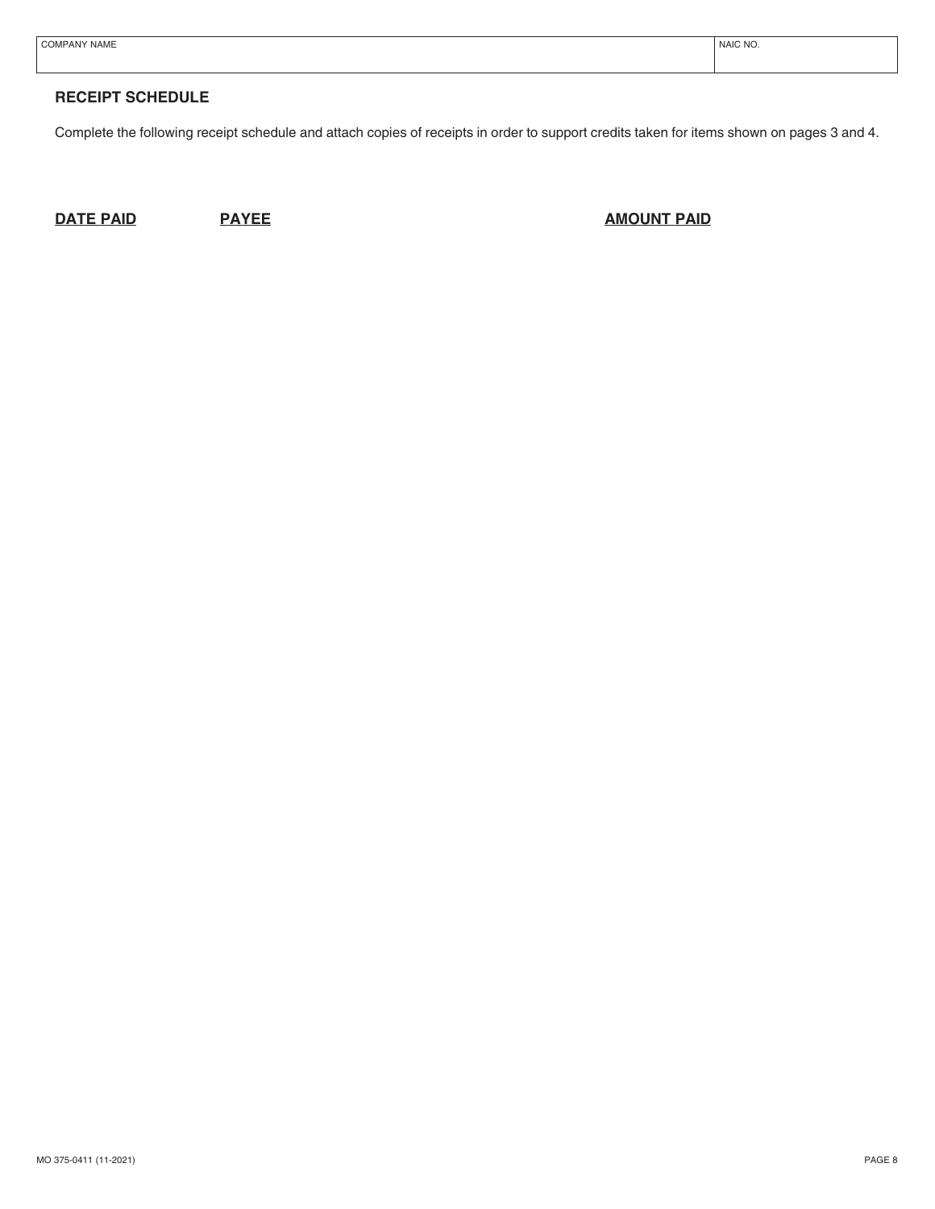| COMPANY NAME | NAIC NO. |
|--------------|----------|
|              |          |

## **RECEIPT SCHEDULE**

Complete the following receipt schedule and attach copies of receipts in order to support credits taken for items shown on pages 3 and 4.

**DATE PAID PAYEE PAYEE PAYEE PAID PAID**